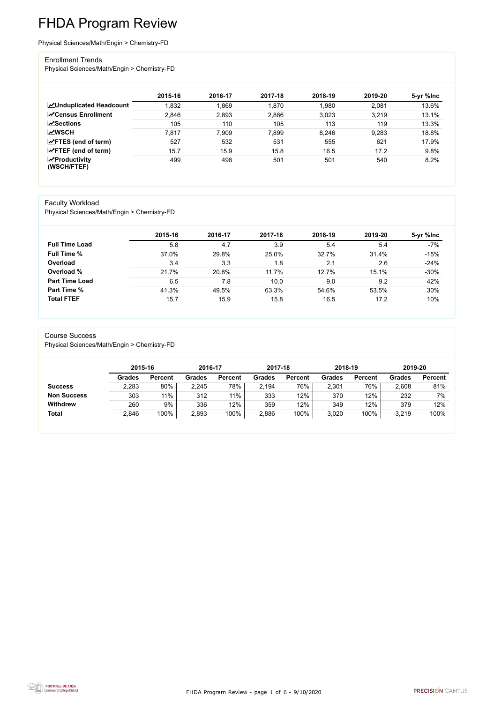FHDA Program Review - page 1 of 6 - 9/10/2020



# FHDA Program Review

Physical Sciences/Math/Engin > Chemistry-FD

#### Enrollment Trends

Physical Sciences/Math/Engin > Chemistry-FD

|                                        | 2015-16 | 2016-17 | 2017-18 | 2018-19 | 2019-20 | 5-yr %lnc |
|----------------------------------------|---------|---------|---------|---------|---------|-----------|
| <b>ZUnduplicated Headcount</b>         | 1,832   | .869    | 1,870   | 1,980   | 2,081   | 13.6%     |
| <b>ZCensus Enrollment</b>              | 2,846   | 2,893   | 2,886   | 3,023   | 3,219   | 13.1%     |
| <b>ZSections</b>                       | 105     | 110     | 105     | 113     | 119     | 13.3%     |
| <b>MWSCH</b>                           | 7,817   | 7,909   | 7,899   | 8,246   | 9,283   | 18.8%     |
| $\angle$ FTES (end of term)            | 527     | 532     | 531     | 555     | 621     | 17.9%     |
| $\angle$ FTEF (end of term)            | 15.7    | 15.9    | 15.8    | 16.5    | 17.2    | 9.8%      |
| $\sqrt{2}$ Productivity<br>(WSCH/FTEF) | 499     | 498     | 501     | 501     | 540     | 8.2%      |

#### Faculty Workload

Physical Sciences/Math/Engin > Chemistry-FD

|                       | 2015-16 | 2016-17 | 2017-18 | 2018-19 | 2019-20 | 5-yr %lnc |
|-----------------------|---------|---------|---------|---------|---------|-----------|
| <b>Full Time Load</b> | 5.8     | 4.7     | 3.9     | 5.4     | 5.4     | $-7%$     |
| <b>Full Time %</b>    | 37.0%   | 29.8%   | 25.0%   | 32.7%   | 31.4%   | $-15%$    |
| Overload              | 3.4     | 3.3     | 1.8     | 2.1     | 2.6     | $-24%$    |
| Overload %            | 21.7%   | 20.8%   | 11.7%   | 12.7%   | 15.1%   | $-30%$    |
| <b>Part Time Load</b> | 6.5     | 7.8     | 10.0    | 9.0     | 9.2     | 42%       |
| <b>Part Time %</b>    | 41.3%   | 49.5%   | 63.3%   | 54.6%   | 53.5%   | 30%       |
| <b>Total FTEF</b>     | 15.7    | 15.9    | 15.8    | 16.5    | 17.2    | 10%       |

#### Course Success

Physical Sciences/Math/Engin > Chemistry-FD

|                    | 2015-16       |                | 2016-17       |                | 2017-18 |                | 2018-19       |                | 2019-20       |                |
|--------------------|---------------|----------------|---------------|----------------|---------|----------------|---------------|----------------|---------------|----------------|
|                    | <b>Grades</b> | <b>Percent</b> | <b>Grades</b> | <b>Percent</b> | Grades  | <b>Percent</b> | <b>Grades</b> | <b>Percent</b> | <b>Grades</b> | <b>Percent</b> |
| <b>Success</b>     | 2,283         | 80%            | 2,245         | 78%            | 2,194   | 76%            | 2,301         | 76%            | 2,608         | 81%            |
| <b>Non Success</b> | 303           | 11%            | 312           | $11\%$         | 333     | 12%            | 370           | 12%            | 232           | 7%             |
| <b>Withdrew</b>    | 260           | 9%             | 336           | 12%            | 359     | 12%            | 349           | 12%            | 379           | 12%            |
| <b>Total</b>       | 2,846         | 100%           | 2,893         | 100%           | 2,886   | 100%           | 3,020         | 100%           | 3,219         | 100%           |

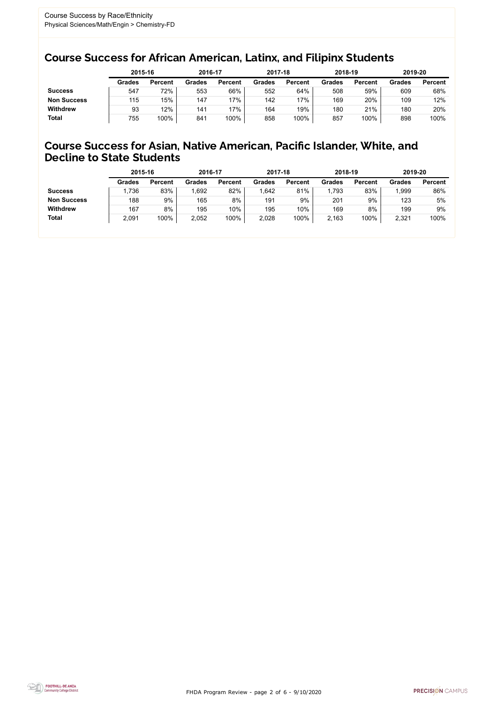FHDA Program Review - page 2 of 6 - 9/10/2020



### Course Success for African American, Latinx, and Filipinx Students

### Course Success for Asian, Native American, Pacific Islander, White, and Decline to State Students

|                    | 2015-16       |                | 2016-17       |                | 2017-18       |                | 2018-19       |                | 2019-20 |                |
|--------------------|---------------|----------------|---------------|----------------|---------------|----------------|---------------|----------------|---------|----------------|
|                    | <b>Grades</b> | <b>Percent</b> | <b>Grades</b> | <b>Percent</b> | <b>Grades</b> | <b>Percent</b> | <b>Grades</b> | <b>Percent</b> | Grades  | <b>Percent</b> |
| <b>Success</b>     | 547           | 72%            | 553           | 66%            | 552           | 64%            | 508           | 59%            | 609     | 68%            |
| <b>Non Success</b> | 115           | 15%            | 147           | 17%            | 142           | 17%            | 169           | 20%            | 109     | 12%            |
| <b>Withdrew</b>    | 93            | 12%            | 141           | 17%            | 164           | 19%            | 180           | 21%            | 180     | 20%            |
| <b>Total</b>       | 755           | 100%           | 841           | 100%           | 858           | 100%           | 857           | 100%           | 898     | 100%           |

|                    | 2015-16       |                | 2016-17       |                | 2017-18       |                | 2018-19       |                | 2019-20       |                |
|--------------------|---------------|----------------|---------------|----------------|---------------|----------------|---------------|----------------|---------------|----------------|
|                    | <b>Grades</b> | <b>Percent</b> | <b>Grades</b> | <b>Percent</b> | <b>Grades</b> | <b>Percent</b> | <b>Grades</b> | <b>Percent</b> | <b>Grades</b> | <b>Percent</b> |
| <b>Success</b>     | ,736          | 83%            | 1,692         | 82%            | .642          | 81%            | ,793          | 83%            | ,999          | 86%            |
| <b>Non Success</b> | 188           | 9%             | 165           | 8%             | 191           | 9%             | 201           | 9%             | 123           | 5%             |
| <b>Withdrew</b>    | 167           | 8%             | 195           | 10%            | 195           | 10%            | 169           | 8%             | 199           | 9%             |
| <b>Total</b>       | 2,091         | 100%           | 2,052         | 100%           | 2,028         | 100%           | 2,163         | 100%           | 2,321         | 100%           |
|                    |               |                |               |                |               |                |               |                |               |                |

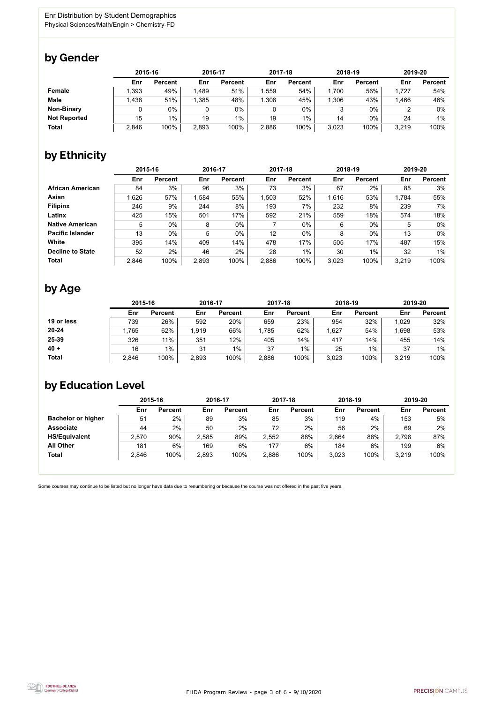FHDA Program Review - page 3 of 6 - 9/10/2020



Some courses may continue to be listed but no longer have data due to renumbering or because the course was not offered in the past five years.



### by Gender

|                     | 2015-16 |                |       | 2016-17        |       | 2017-18        |       | 2018-19        | 2019-20 |                |
|---------------------|---------|----------------|-------|----------------|-------|----------------|-------|----------------|---------|----------------|
|                     | Enr     | <b>Percent</b> | Enr   | <b>Percent</b> | Enr   | <b>Percent</b> | Enr   | <b>Percent</b> | Enr     | <b>Percent</b> |
| <b>Female</b>       | ,393    | 49%            | 1,489 | 51%            | 1,559 | 54%            | 1,700 | 56%            | 1,727   | 54%            |
| <b>Male</b>         | 1,438   | 51%            | ,385  | 48%            | 1,308 | 45%            | ,306  | 43%            | 1,466   | 46%            |
| <b>Non-Binary</b>   |         | 0%             |       | $0\%$          |       | 0%             |       | $0\%$          |         | 0%             |
| <b>Not Reported</b> | 15      | $1\%$          | 19    | $1\%$          | 19    | $1\%$          | 14    | 0%             | 24      | $1\%$          |
| <b>Total</b>        | 2,846   | 100%           | 2,893 | 100%           | 2,886 | 100%           | 3,023 | 100%           | 3,219   | 100%           |

# by Ethnicity

|                         | 2015-16 |                |       | 2016-17        |       | 2017-18        | 2018-19 |                | 2019-20 |                |
|-------------------------|---------|----------------|-------|----------------|-------|----------------|---------|----------------|---------|----------------|
|                         | Enr     | <b>Percent</b> | Enr   | <b>Percent</b> | Enr   | <b>Percent</b> | Enr     | <b>Percent</b> | Enr     | <b>Percent</b> |
| <b>African American</b> | 84      | 3%             | 96    | 3%             | 73    | 3%             | 67      | 2%             | 85      | 3%             |
| <b>Asian</b>            | 1,626   | 57%            | 1,584 | 55%            | 1,503 | 52%            | 1,616   | 53%            | 1,784   | 55%            |
| <b>Filipinx</b>         | 246     | 9%             | 244   | 8%             | 193   | 7%             | 232     | 8%             | 239     | 7%             |
| Latinx                  | 425     | 15%            | 501   | 17%            | 592   | 21%            | 559     | 18%            | 574     | 18%            |
| <b>Native American</b>  | 5       | $0\%$          | 8     | $0\%$          |       | $0\%$          | 6       | $0\%$          | 5       | $0\%$          |
| <b>Pacific Islander</b> | 13      | $0\%$          | 5     | 0%             | 12    | 0%             | 8       | $0\%$          | 13      | $0\%$          |
| White                   | 395     | 14%            | 409   | 14%            | 478   | 17%            | 505     | 17%            | 487     | 15%            |
| <b>Decline to State</b> | 52      | 2%             | 46    | 2%             | 28    | $1\%$          | 30      | $1\%$          | 32      | $1\%$          |
| <b>Total</b>            | 2,846   | 100%           | 2,893 | 100%           | 2,886 | 100%           | 3,023   | 100%           | 3,219   | 100%           |

## by Age

|              | 2015-16 |                | 2016-17 |                | 2017-18 |                | 2018-19 |                | 2019-20 |                |
|--------------|---------|----------------|---------|----------------|---------|----------------|---------|----------------|---------|----------------|
|              | Enr     | <b>Percent</b> | Enr     | <b>Percent</b> | Enr     | <b>Percent</b> | Enr     | <b>Percent</b> | Enr     | <b>Percent</b> |
| 19 or less   | 739     | 26%            | 592     | 20%            | 659     | 23%            | 954     | 32%            | 1,029   | 32%            |
| $20 - 24$    | ,765    | 62%            | 1,919   | 66%            | ,785    | 62%            | ,627    | 54%            | 1,698   | 53%            |
| 25-39        | 326     | 11%            | 351     | 12%            | 405     | 14%            | 417     | 14%            | 455     | 14%            |
| $40 +$       | 16      | $1\%$          | 31      | $1\%$          | 37      | 1%             | 25      | $1\%$          | 37      | $1\%$          |
| <b>Total</b> | 2,846   | 100%           | 2,893   | 100%           | 2,886   | 100%           | 3,023   | 100%           | 3,219   | 100%           |

## by Education Level

|                           | 2015-16 |                |       | 2016-17        |       | 2017-18        | 2018-19 |                | 2019-20 |                |
|---------------------------|---------|----------------|-------|----------------|-------|----------------|---------|----------------|---------|----------------|
|                           | Enr     | <b>Percent</b> | Enr   | <b>Percent</b> | Enr   | <b>Percent</b> | Enr     | <b>Percent</b> | Enr     | <b>Percent</b> |
| <b>Bachelor or higher</b> | 51      | 2%             | 89    | 3%             | 85    | 3%             | 119     | 4%             | 153     | 5%             |
| <b>Associate</b>          | 44      | 2%             | 50    | 2%             | 72    | 2%             | 56      | 2%             | 69      | 2%             |
| <b>HS/Equivalent</b>      | 2,570   | 90%            | 2,585 | 89%            | 2,552 | 88%            | 2,664   | 88%            | 2,798   | 87%            |
| <b>All Other</b>          | 181     | 6%             | 169   | $6\%$          | 177   | 6%             | 184     | 6%             | 199     | 6%             |
| <b>Total</b>              | 2,846   | 100%           | 2,893 | 100%           | 2,886 | 100%           | 3,023   | 100%           | 3,219   | 100%           |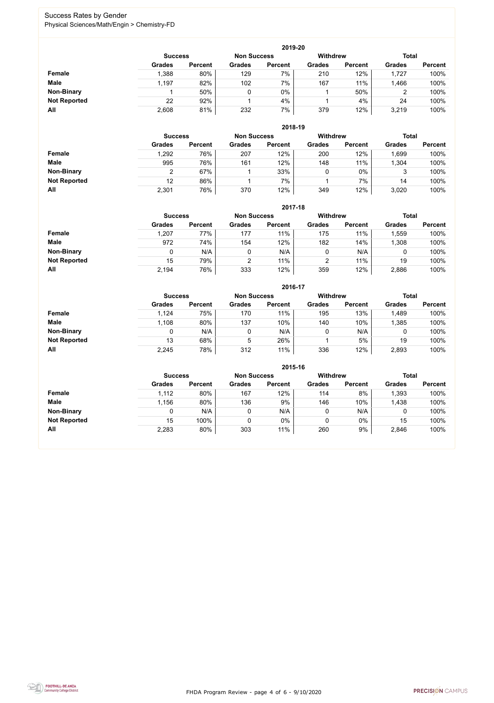FHDA Program Review - page 4 of 6 - 9/10/2020



### Success Rates by Gender Physical Sciences/Math/Engin > Chemistry-FD

|                     | 2019-20        |                |                    |                |                 |                |               |                |  |  |  |  |
|---------------------|----------------|----------------|--------------------|----------------|-----------------|----------------|---------------|----------------|--|--|--|--|
|                     | <b>Success</b> |                | <b>Non Success</b> |                | <b>Withdrew</b> |                | <b>Total</b>  |                |  |  |  |  |
|                     | <b>Grades</b>  | <b>Percent</b> | <b>Grades</b>      | <b>Percent</b> | <b>Grades</b>   | <b>Percent</b> | <b>Grades</b> | <b>Percent</b> |  |  |  |  |
| Female              | 1,388          | 80%            | 129                | 7%             | 210             | 12%            | 1,727         | 100%           |  |  |  |  |
| <b>Male</b>         | 1,197          | 82%            | 102                | 7%             | 167             | 11%            | .466          | 100%           |  |  |  |  |
| <b>Non-Binary</b>   |                | 50%            |                    | $0\%$          |                 | 50%            | 2             | 100%           |  |  |  |  |
| <b>Not Reported</b> | 22             | 92%            |                    | 4%             |                 | 4%             | 24            | 100%           |  |  |  |  |
| All                 | 2,608          | 81%            | 232                | 7%             | 379             | 12%            | 3,219         | 100%           |  |  |  |  |

|                     | 2018-19       |                                      |               |                |               |                 |               |                |  |  |  |  |
|---------------------|---------------|--------------------------------------|---------------|----------------|---------------|-----------------|---------------|----------------|--|--|--|--|
|                     |               | <b>Non Success</b><br><b>Success</b> |               |                |               | <b>Withdrew</b> | <b>Total</b>  |                |  |  |  |  |
|                     | <b>Grades</b> | <b>Percent</b>                       | <b>Grades</b> | <b>Percent</b> | <b>Grades</b> | <b>Percent</b>  | <b>Grades</b> | <b>Percent</b> |  |  |  |  |
| Female              | 1,292         | 76%                                  | 207           | 12%            | 200           | 12%             | .699          | 100%           |  |  |  |  |
| <b>Male</b>         | 995           | 76%                                  | 161           | 12%            | 148           | 11%             | ,304          | 100%           |  |  |  |  |
| <b>Non-Binary</b>   | C             | 67%                                  |               | 33%            | υ             | $0\%$           | 3             | 100%           |  |  |  |  |
| <b>Not Reported</b> | 12            | 86%                                  |               | 7%             |               | 7%              | 14            | 100%           |  |  |  |  |
| All                 | 2,301         | 76%                                  | 370           | 12%            | 349           | 12%             | 3,020         | 100%           |  |  |  |  |

|                     |               | 2017-18                                                                 |               |                |               |                |               |                |  |  |  |  |  |
|---------------------|---------------|-------------------------------------------------------------------------|---------------|----------------|---------------|----------------|---------------|----------------|--|--|--|--|--|
|                     |               | <b>Withdrew</b><br><b>Total</b><br><b>Non Success</b><br><b>Success</b> |               |                |               |                |               |                |  |  |  |  |  |
|                     | <b>Grades</b> | <b>Percent</b>                                                          | <b>Grades</b> | <b>Percent</b> | <b>Grades</b> | <b>Percent</b> | <b>Grades</b> | <b>Percent</b> |  |  |  |  |  |
| <b>Female</b>       | 1,207         | 77%                                                                     | 177           | 11%            | 175           | 11%            | ,559          | 100%           |  |  |  |  |  |
| <b>Male</b>         | 972           | 74%                                                                     | 154           | 12%            | 182           | 14%            | ,308          | 100%           |  |  |  |  |  |
| <b>Non-Binary</b>   | 0             | N/A                                                                     | 0             | N/A            | 0             | N/A            | 0             | 100%           |  |  |  |  |  |
| <b>Not Reported</b> | 15            | 79%                                                                     | 2             | 11%            | 2             | 11%            | 19            | 100%           |  |  |  |  |  |
| All                 | 2,194         | 76%                                                                     | 333           | 12%            | 359           | 12%            | 2,886         | 100%           |  |  |  |  |  |

|                     |                |                |                    | 2016-17        |                 |                |               |                |
|---------------------|----------------|----------------|--------------------|----------------|-----------------|----------------|---------------|----------------|
|                     | <b>Success</b> |                | <b>Non Success</b> |                | <b>Withdrew</b> |                | <b>Total</b>  |                |
|                     | <b>Grades</b>  | <b>Percent</b> | <b>Grades</b>      | <b>Percent</b> | <b>Grades</b>   | <b>Percent</b> | <b>Grades</b> | <b>Percent</b> |
| Female              | 1,124          | 75%            | 170                | 11%            | 195             | 13%            | 1,489         | 100%           |
| <b>Male</b>         | 1,108          | 80%            | 137                | 10%            | 140             | 10%            | ,385          | 100%           |
| <b>Non-Binary</b>   | 0              | N/A            |                    | N/A            | 0               | N/A            | 0             | 100%           |
| <b>Not Reported</b> | 13             | 68%            | 5                  | 26%            |                 | 5%             | 19            | 100%           |
| All                 | 2,245          | 78%            | 312                | 11%            | 336             | 12%            | 2,893         | 100%           |

|                     |               |                                                         |               |                | 2015-16       |                |               |                |
|---------------------|---------------|---------------------------------------------------------|---------------|----------------|---------------|----------------|---------------|----------------|
|                     |               | <b>Withdrew</b><br><b>Non Success</b><br><b>Success</b> |               |                |               |                |               | <b>Total</b>   |
|                     | <b>Grades</b> | <b>Percent</b>                                          | <b>Grades</b> | <b>Percent</b> | <b>Grades</b> | <b>Percent</b> | <b>Grades</b> | <b>Percent</b> |
| Female              | 1,112         | 80%                                                     | 167           | 12%            | 114           | 8%             | 1,393         | 100%           |
| <b>Male</b>         | 1,156         | 80%                                                     | 136           | 9%             | 146           | 10%            | 1,438         | 100%           |
| <b>Non-Binary</b>   | 0             | N/A                                                     | 0             | N/A            |               | N/A            | 0             | 100%           |
| <b>Not Reported</b> | 15            | 100%                                                    | 0             | 0%             |               | $0\%$          | 15            | 100%           |
| All                 | 2,283         | 80%                                                     | 303           | 11%            | 260           | 9%             | 2,846         | 100%           |

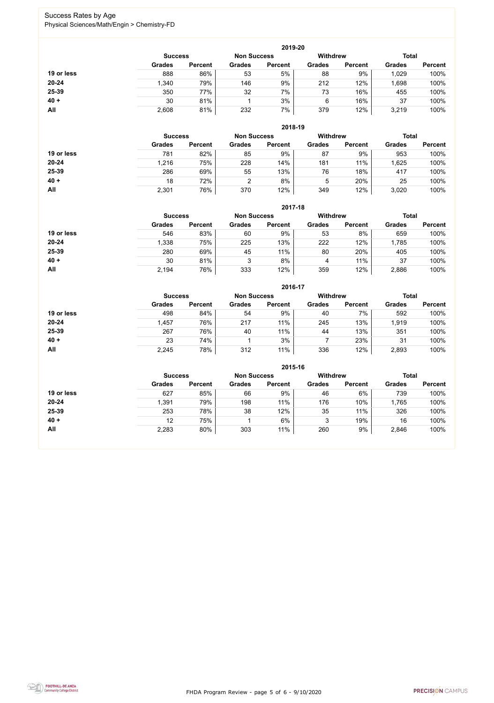FHDA Program Review - page 5 of 6 - 9/10/2020



### Success Rates by Age Physical Sciences/Math/Engin > Chemistry-FD

|            |                |                    |               | 2019-20         |               |                |               |                |
|------------|----------------|--------------------|---------------|-----------------|---------------|----------------|---------------|----------------|
|            | <b>Success</b> | <b>Non Success</b> |               | <b>Withdrew</b> |               | <b>Total</b>   |               |                |
|            | <b>Grades</b>  | <b>Percent</b>     | <b>Grades</b> | <b>Percent</b>  | <b>Grades</b> | <b>Percent</b> | <b>Grades</b> | <b>Percent</b> |
| 19 or less | 888            | 86%                | 53            | 5%              | 88            | 9%             | 1,029         | 100%           |
| 20-24      | 1,340          | 79%                | 146           | 9%              | 212           | 12%            | ,698          | 100%           |
| 25-39      | 350            | 77%                | 32            | 7%              | 73            | 16%            | 455           | 100%           |
| $40 +$     | 30             | 81%                |               | 3%              | 6             | 16%            | 37            | 100%           |
| All        | 2,608          | 81%                | 232           | 7%              | 379           | 12%            | 3,219         | 100%           |

|            |                |                |                    | 2018-19        |               |                                 |               |                |
|------------|----------------|----------------|--------------------|----------------|---------------|---------------------------------|---------------|----------------|
|            | <b>Success</b> |                | <b>Non Success</b> |                |               | <b>Withdrew</b><br><b>Total</b> |               |                |
|            | <b>Grades</b>  | <b>Percent</b> | <b>Grades</b>      | <b>Percent</b> | <b>Grades</b> | <b>Percent</b>                  | <b>Grades</b> | <b>Percent</b> |
| 19 or less | 781            | 82%            | 85                 | 9%             | 87            | 9%                              | 953           | 100%           |
| $20 - 24$  | 1,216          | 75%            | 228                | 14%            | 181           | 11%                             | 1,625         | 100%           |
| 25-39      | 286            | 69%            | 55                 | 13%            | 76            | 18%                             | 417           | 100%           |
| $40 +$     | 18             | 72%            |                    | 8%             | 5             | 20%                             | 25            | 100%           |
| All        | 2,301          | 76%            | 370                | 12%            | 349           | 12%                             | 3,020         | 100%           |

|            |                |                 |               | 2017-18        |               |                |               |                |
|------------|----------------|-----------------|---------------|----------------|---------------|----------------|---------------|----------------|
|            | <b>Success</b> | <b>Withdrew</b> |               | <b>Total</b>   |               |                |               |                |
|            | <b>Grades</b>  | <b>Percent</b>  | <b>Grades</b> | <b>Percent</b> | <b>Grades</b> | <b>Percent</b> | <b>Grades</b> | <b>Percent</b> |
| 19 or less | 546            | 83%             | 60            | 9%             | 53            | 8%             | 659           | 100%           |
| $20 - 24$  | 1,338          | 75%             | 225           | 13%            | 222           | 12%            | 1,785         | 100%           |
| 25-39      | 280            | 69%             | 45            | 11%            | 80            | 20%            | 405           | 100%           |
| $40 +$     | 30             | 81%             | 3             | 8%             | 4             | 11%            | 37            | 100%           |
| All        | 2,194          | 76%             | 333           | 12%            | 359           | 12%            | 2,886         | 100%           |

|            |                |                    |               | 2016-17         |               |                |               |                |
|------------|----------------|--------------------|---------------|-----------------|---------------|----------------|---------------|----------------|
|            | <b>Success</b> | <b>Non Success</b> |               | <b>Withdrew</b> |               | <b>Total</b>   |               |                |
|            | <b>Grades</b>  | <b>Percent</b>     | <b>Grades</b> | <b>Percent</b>  | <b>Grades</b> | <b>Percent</b> | <b>Grades</b> | <b>Percent</b> |
| 19 or less | 498            | 84%                | 54            | 9%              | 40            | 7%             | 592           | 100%           |
| $20 - 24$  | 1,457          | 76%                | 217           | 11%             | 245           | 13%            | 1,919         | 100%           |
| 25-39      | 267            | 76%                | 40            | 11%             | 44            | 13%            | 351           | 100%           |
| $40 +$     | 23             | 74%                |               | 3%              |               | 23%            | 31            | 100%           |
| All        | 2,245          | 78%                | 312           | 11%             | 336           | 12%            | 2,893         | 100%           |

|            |                                                         |                |               | 2015-16        |               |                |               |                |
|------------|---------------------------------------------------------|----------------|---------------|----------------|---------------|----------------|---------------|----------------|
|            | <b>Withdrew</b><br><b>Non Success</b><br><b>Success</b> |                |               |                |               |                |               |                |
|            | <b>Grades</b>                                           | <b>Percent</b> | <b>Grades</b> | <b>Percent</b> | <b>Grades</b> | <b>Percent</b> | <b>Grades</b> | <b>Percent</b> |
| 19 or less | 627                                                     | 85%            | 66            | 9%             | 46            | 6%             | 739           | 100%           |
| $20 - 24$  | 1,391                                                   | 79%            | 198           | 11%            | 176           | 10%            | ,765          | 100%           |
| 25-39      | 253                                                     | 78%            | 38            | 12%            | 35            | 11%            | 326           | 100%           |
| $40 +$     | 12                                                      | 75%            |               | 6%             | 3             | 19%            | 16            | 100%           |
| All        | 2,283                                                   | 80%            | 303           | 11%            | 260           | 9%             | 2,846         | 100%           |